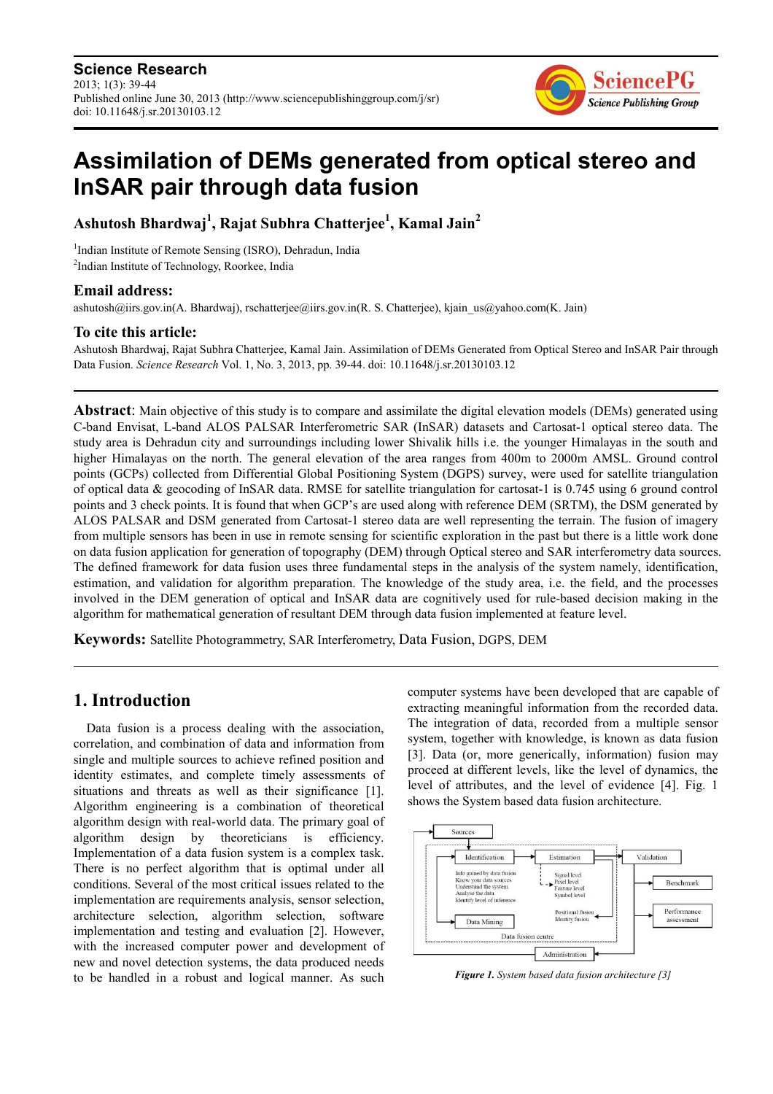

# **Assimilation of DEMs generated from optical stereo and InSAR pair through data fusion**

**Ashutosh Bhardwaj<sup>1</sup> , Rajat Subhra Chatterjee<sup>1</sup> , Kamal Jain<sup>2</sup>**

<sup>1</sup>Indian Institute of Remote Sensing (ISRO), Dehradun, India 2 Indian Institute of Technology, Roorkee, India

#### **Email address:**

ashutosh@iirs.gov.in(A. Bhardwaj), rschatterjee@iirs.gov.in(R. S. Chatterjee), kjain\_us@yahoo.com(K. Jain)

#### **To cite this article:**

Ashutosh Bhardwaj, Rajat Subhra Chatterjee, Kamal Jain. Assimilation of DEMs Generated from Optical Stereo and InSAR Pair through Data Fusion. *Science Research* Vol. 1, No. 3, 2013, pp. 39-44. doi: 10.11648/j.sr.20130103.12

**Abstract**: Main objective of this study is to compare and assimilate the digital elevation models (DEMs) generated using C-band Envisat, L-band ALOS PALSAR Interferometric SAR (InSAR) datasets and Cartosat-1 optical stereo data. The study area is Dehradun city and surroundings including lower Shivalik hills i.e. the younger Himalayas in the south and higher Himalayas on the north. The general elevation of the area ranges from 400m to 2000m AMSL. Ground control points (GCPs) collected from Differential Global Positioning System (DGPS) survey, were used for satellite triangulation of optical data & geocoding of InSAR data. RMSE for satellite triangulation for cartosat-1 is 0.745 using 6 ground control points and 3 check points. It is found that when GCP's are used along with reference DEM (SRTM), the DSM generated by ALOS PALSAR and DSM generated from Cartosat-1 stereo data are well representing the terrain. The fusion of imagery from multiple sensors has been in use in remote sensing for scientific exploration in the past but there is a little work done on data fusion application for generation of topography (DEM) through Optical stereo and SAR interferometry data sources. The defined framework for data fusion uses three fundamental steps in the analysis of the system namely, identification, estimation, and validation for algorithm preparation. The knowledge of the study area, i.e. the field, and the processes involved in the DEM generation of optical and InSAR data are cognitively used for rule-based decision making in the algorithm for mathematical generation of resultant DEM through data fusion implemented at feature level.

**Keywords:** Satellite Photogrammetry, SAR Interferometry, Data Fusion, DGPS, DEM

### **1. Introduction**

Data fusion is a process dealing with the association, correlation, and combination of data and information from single and multiple sources to achieve refined position and identity estimates, and complete timely assessments of situations and threats as well as their significance [1]. Algorithm engineering is a combination of theoretical algorithm design with real-world data. The primary goal of algorithm design by theoreticians is efficiency. Implementation of a data fusion system is a complex task. There is no perfect algorithm that is optimal under all conditions. Several of the most critical issues related to the implementation are requirements analysis, sensor selection, architecture selection, algorithm selection, software implementation and testing and evaluation [2]. However, with the increased computer power and development of new and novel detection systems, the data produced needs to be handled in a robust and logical manner. As such computer systems have been developed that are capable of extracting meaningful information from the recorded data. The integration of data, recorded from a multiple sensor system, together with knowledge, is known as data fusion [3]. Data (or, more generically, information) fusion may proceed at different levels, like the level of dynamics, the level of attributes, and the level of evidence [4]. Fig. 1 shows the System based data fusion architecture.



*Figure 1. System based data fusion architecture [3]*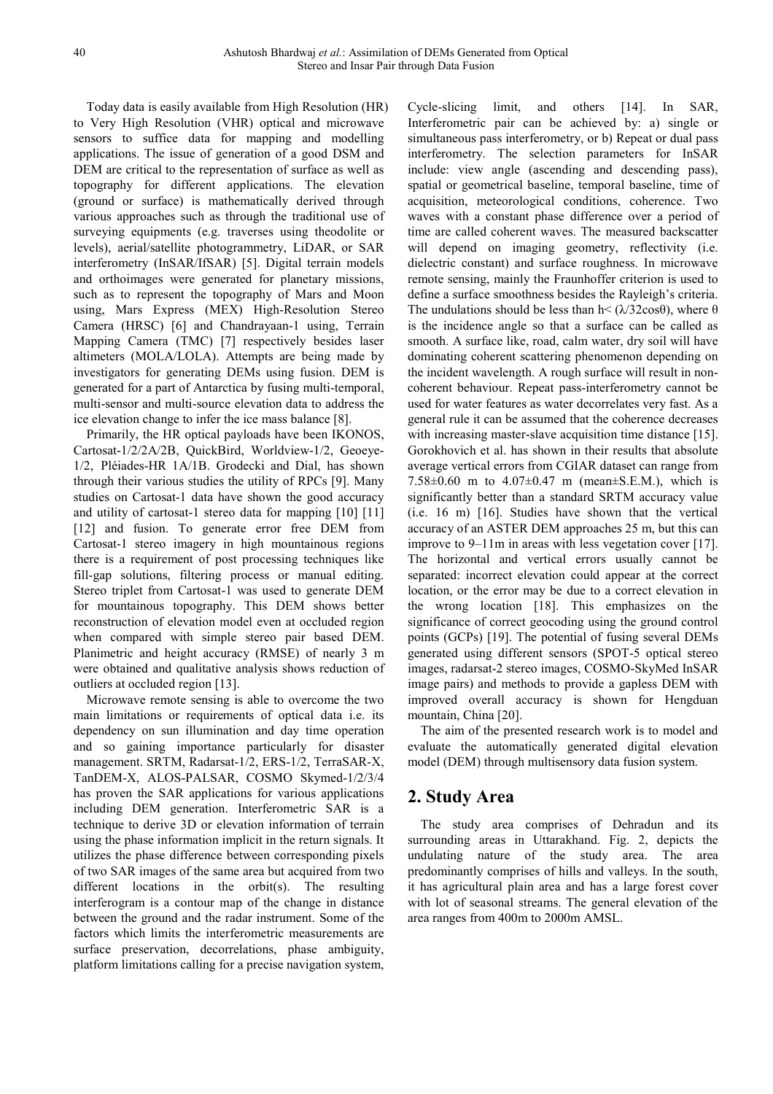Today data is easily available from High Resolution (HR) to Very High Resolution (VHR) optical and microwave sensors to suffice data for mapping and modelling applications. The issue of generation of a good DSM and DEM are critical to the representation of surface as well as topography for different applications. The elevation (ground or surface) is mathematically derived through various approaches such as through the traditional use of surveying equipments (e.g. traverses using theodolite or levels), aerial/satellite photogrammetry, LiDAR, or SAR interferometry (InSAR/IfSAR) [5]. Digital terrain models and orthoimages were generated for planetary missions, such as to represent the topography of Mars and Moon using, Mars Express (MEX) High-Resolution Stereo Camera (HRSC) [6] and Chandrayaan-1 using, Terrain Mapping Camera (TMC) [7] respectively besides laser altimeters (MOLA/LOLA). Attempts are being made by investigators for generating DEMs using fusion. DEM is generated for a part of Antarctica by fusing multi-temporal, multi-sensor and multi-source elevation data to address the ice elevation change to infer the ice mass balance [8].

Primarily, the HR optical payloads have been IKONOS, Cartosat-1/2/2A/2B, QuickBird, Worldview-1/2, Geoeye-1/2, Pléiades-HR 1A/1B. Grodecki and Dial, has shown through their various studies the utility of RPCs [9]. Many studies on Cartosat-1 data have shown the good accuracy and utility of cartosat-1 stereo data for mapping [10] [11] [12] and fusion. To generate error free DEM from Cartosat-1 stereo imagery in high mountainous regions there is a requirement of post processing techniques like fill-gap solutions, filtering process or manual editing. Stereo triplet from Cartosat-1 was used to generate DEM for mountainous topography. This DEM shows better reconstruction of elevation model even at occluded region when compared with simple stereo pair based DEM. Planimetric and height accuracy (RMSE) of nearly 3 m were obtained and qualitative analysis shows reduction of outliers at occluded region [13].

Microwave remote sensing is able to overcome the two main limitations or requirements of optical data i.e. its dependency on sun illumination and day time operation and so gaining importance particularly for disaster management. SRTM, Radarsat-1/2, ERS-1/2, TerraSAR-X, TanDEM-X, ALOS-PALSAR, COSMO Skymed-1/2/3/4 has proven the SAR applications for various applications including DEM generation. Interferometric SAR is a technique to derive 3D or elevation information of terrain using the phase information implicit in the return signals. It utilizes the phase difference between corresponding pixels of two SAR images of the same area but acquired from two different locations in the orbit(s). The resulting interferogram is a contour map of the change in distance between the ground and the radar instrument. Some of the factors which limits the interferometric measurements are surface preservation, decorrelations, phase ambiguity, platform limitations calling for a precise navigation system, Cycle-slicing limit, and others [14]. In SAR, Interferometric pair can be achieved by: a) single or simultaneous pass interferometry, or b) Repeat or dual pass interferometry. The selection parameters for InSAR include: view angle (ascending and descending pass), spatial or geometrical baseline, temporal baseline, time of acquisition, meteorological conditions, coherence. Two waves with a constant phase difference over a period of time are called coherent waves. The measured backscatter will depend on imaging geometry, reflectivity (i.e. dielectric constant) and surface roughness. In microwave remote sensing, mainly the Fraunhoffer criterion is used to define a surface smoothness besides the Rayleigh's criteria. The undulations should be less than  $h < (\lambda/32\cos\theta)$ , where  $\theta$ is the incidence angle so that a surface can be called as smooth. A surface like, road, calm water, dry soil will have dominating coherent scattering phenomenon depending on the incident wavelength. A rough surface will result in noncoherent behaviour. Repeat pass-interferometry cannot be used for water features as water decorrelates very fast. As a general rule it can be assumed that the coherence decreases with increasing master-slave acquisition time distance [15]. Gorokhovich et al. has shown in their results that absolute average vertical errors from CGIAR dataset can range from 7.58 $\pm$ 0.60 m to 4.07 $\pm$ 0.47 m (mean $\pm$ S.E.M.), which is significantly better than a standard SRTM accuracy value (i.e. 16 m) [16]. Studies have shown that the vertical accuracy of an ASTER DEM approaches 25 m, but this can improve to 9–11m in areas with less vegetation cover [17]. The horizontal and vertical errors usually cannot be separated: incorrect elevation could appear at the correct location, or the error may be due to a correct elevation in the wrong location [18]. This emphasizes on the significance of correct geocoding using the ground control points (GCPs) [19]. The potential of fusing several DEMs generated using different sensors (SPOT-5 optical stereo images, radarsat-2 stereo images, COSMO-SkyMed InSAR image pairs) and methods to provide a gapless DEM with improved overall accuracy is shown for Hengduan mountain, China [20].

The aim of the presented research work is to model and evaluate the automatically generated digital elevation model (DEM) through multisensory data fusion system.

## **2. Study Area**

The study area comprises of Dehradun and its surrounding areas in Uttarakhand. Fig. 2, depicts the undulating nature of the study area. The area predominantly comprises of hills and valleys. In the south, it has agricultural plain area and has a large forest cover with lot of seasonal streams. The general elevation of the area ranges from 400m to 2000m AMSL.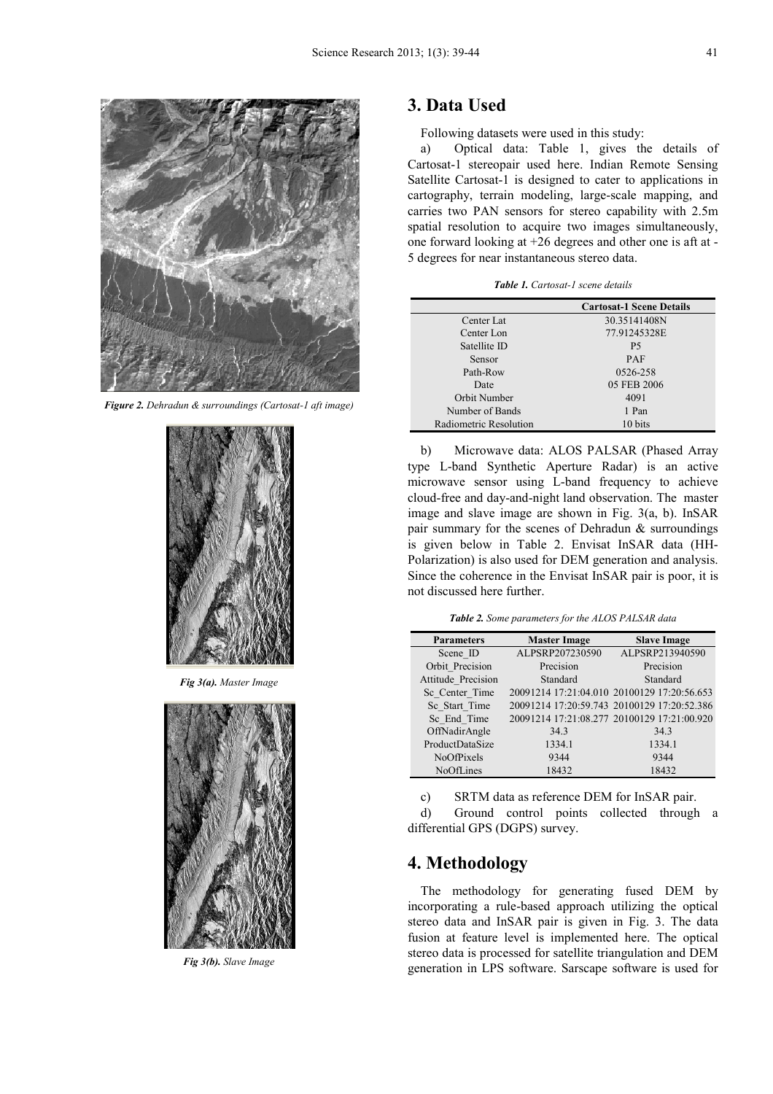

*Figure 2. Dehradun & surroundings (Cartosat-1 aft image)* 



*Fig 3(a). Master Image* 



*Fig 3(b). Slave Image* 

## **3. Data Used**

Following datasets were used in this study:

a) Optical data: Table 1, gives the details of Cartosat-1 stereopair used here. Indian Remote Sensing Satellite Cartosat-1 is designed to cater to applications in cartography, terrain modeling, large-scale mapping, and carries two PAN sensors for stereo capability with 2.5m spatial resolution to acquire two images simultaneously, one forward looking at +26 degrees and other one is aft at - 5 degrees for near instantaneous stereo data.

*Table 1. Cartosat-1 scene details* 

|                        | <b>Cartosat-1 Scene Details</b> |
|------------------------|---------------------------------|
| Center Lat             | 30.35141408N                    |
| Center Lon             | 77.91245328E                    |
| Satellite ID           | P5                              |
| <b>Sensor</b>          | <b>PAF</b>                      |
| Path-Row               | 0526-258                        |
| Date                   | 05 FEB 2006                     |
| Orbit Number           | 4091                            |
| Number of Bands        | 1 Pan                           |
| Radiometric Resolution | 10 bits                         |

b) Microwave data: ALOS PALSAR (Phased Array type L-band Synthetic Aperture Radar) is an active microwave sensor using L-band frequency to achieve cloud-free and day-and-night land observation. The master image and slave image are shown in Fig. 3(a, b). InSAR pair summary for the scenes of Dehradun & surroundings is given below in Table 2. Envisat InSAR data (HH-Polarization) is also used for DEM generation and analysis. Since the coherence in the Envisat InSAR pair is poor, it is not discussed here further.

*Table 2. Some parameters for the ALOS PALSAR data* 

| <b>Parameters</b>  | <b>Master Image</b>                         | <b>Slave Image</b>                          |
|--------------------|---------------------------------------------|---------------------------------------------|
| Scene ID           | ALPSRP207230590                             | ALPSRP213940590                             |
| Orbit Precision    | Precision                                   | Precision                                   |
| Attitude_Precision | Standard                                    | Standard                                    |
| Sc_Center_Time     | 20091214 17:21:04.010 20100129 17:20:56.653 |                                             |
| Sc Start Time      |                                             | 20091214 17:20:59.743 20100129 17:20:52.386 |
| Sc End Time        |                                             | 20091214 17:21:08.277 20100129 17:21:00.920 |
| OffNadirAngle      | 34.3                                        | 34.3                                        |
| ProductDataSize    | 1334.1                                      | 1334.1                                      |
| <b>NoOfPixels</b>  | 9344                                        | 9344                                        |
| NoOfLines          | 18432                                       | 18432                                       |

c) SRTM data as reference DEM for InSAR pair.

d) Ground control points collected through a differential GPS (DGPS) survey.

## **4. Methodology**

The methodology for generating fused DEM by incorporating a rule-based approach utilizing the optical stereo data and InSAR pair is given in Fig. 3. The data fusion at feature level is implemented here. The optical stereo data is processed for satellite triangulation and DEM generation in LPS software. Sarscape software is used for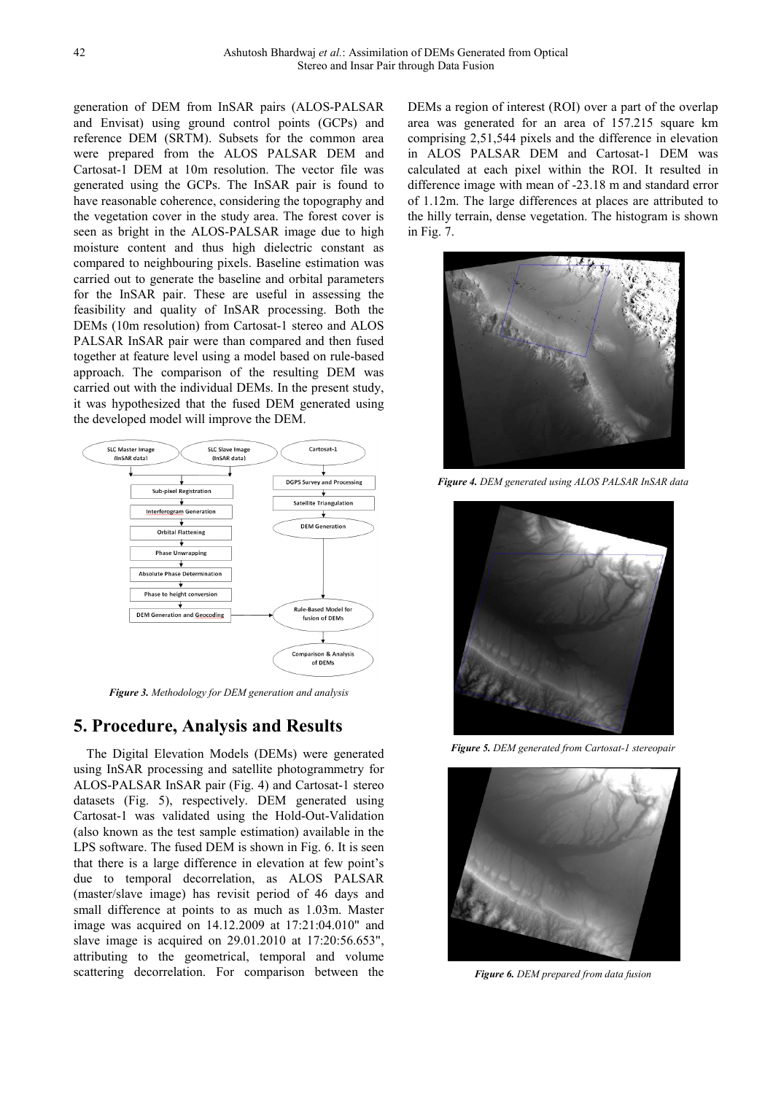generation of DEM from InSAR pairs (ALOS-PALSAR and Envisat) using ground control points (GCPs) and reference DEM (SRTM). Subsets for the common area were prepared from the ALOS PALSAR DEM and Cartosat-1 DEM at 10m resolution. The vector file was generated using the GCPs. The InSAR pair is found to have reasonable coherence, considering the topography and the vegetation cover in the study area. The forest cover is seen as bright in the ALOS-PALSAR image due to high moisture content and thus high dielectric constant as compared to neighbouring pixels. Baseline estimation was carried out to generate the baseline and orbital parameters for the InSAR pair. These are useful in assessing the feasibility and quality of InSAR processing. Both the DEMs (10m resolution) from Cartosat-1 stereo and ALOS PALSAR InSAR pair were than compared and then fused together at feature level using a model based on rule-based approach. The comparison of the resulting DEM was carried out with the individual DEMs. In the present study, it was hypothesized that the fused DEM generated using the developed model will improve the DEM.



*Figure 3. Methodology for DEM generation and analysis* 

### **5. Procedure, Analysis and Results**

The Digital Elevation Models (DEMs) were generated using InSAR processing and satellite photogrammetry for ALOS-PALSAR InSAR pair (Fig. 4) and Cartosat-1 stereo datasets (Fig. 5), respectively. DEM generated using Cartosat-1 was validated using the Hold-Out-Validation (also known as the test sample estimation) available in the LPS software. The fused DEM is shown in Fig. 6. It is seen that there is a large difference in elevation at few point's due to temporal decorrelation, as ALOS PALSAR (master/slave image) has revisit period of 46 days and small difference at points to as much as 1.03m. Master image was acquired on 14.12.2009 at 17:21:04.010" and slave image is acquired on 29.01.2010 at 17:20:56.653", attributing to the geometrical, temporal and volume scattering decorrelation. For comparison between the

DEMs a region of interest (ROI) over a part of the overlap area was generated for an area of 157.215 square km comprising 2,51,544 pixels and the difference in elevation in ALOS PALSAR DEM and Cartosat-1 DEM was calculated at each pixel within the ROI. It resulted in difference image with mean of -23.18 m and standard error of 1.12m. The large differences at places are attributed to the hilly terrain, dense vegetation. The histogram is shown in Fig. 7.



*Figure 4. DEM generated using ALOS PALSAR InSAR data* 



*Figure 5. DEM generated from Cartosat-1 stereopair* 



*Figure 6. DEM prepared from data fusion*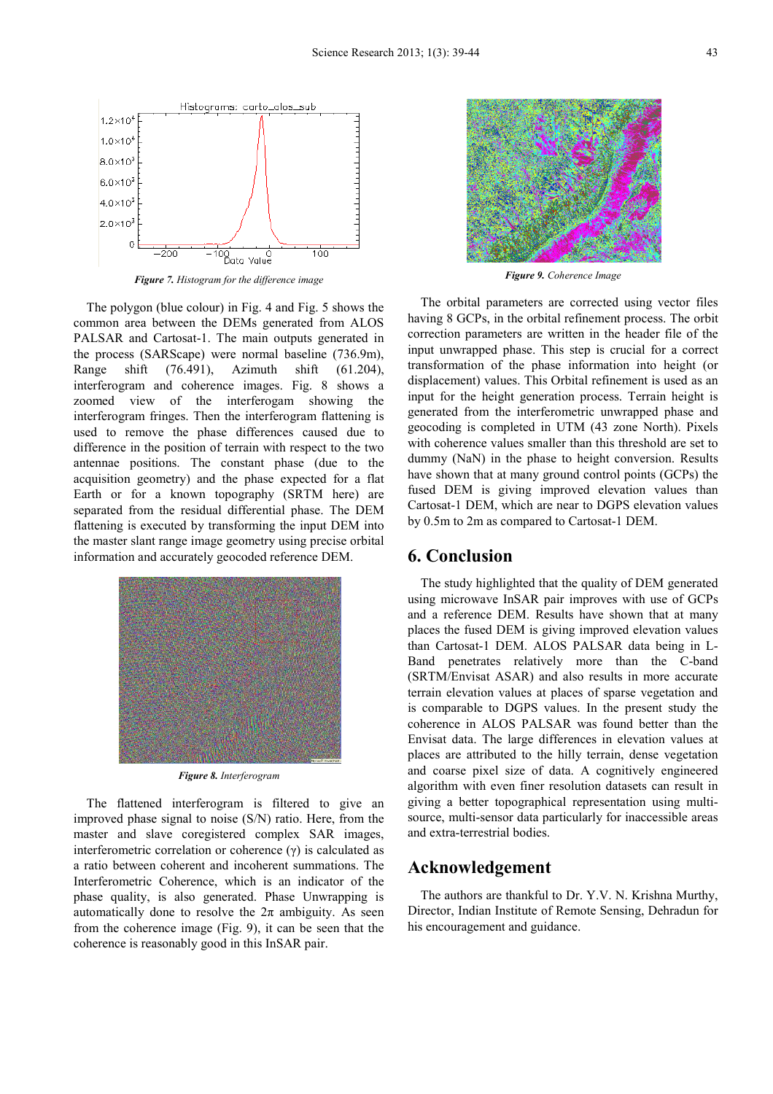

*Figure 7. Histogram for the difference image* 

The polygon (blue colour) in Fig. 4 and Fig. 5 shows the common area between the DEMs generated from ALOS PALSAR and Cartosat-1. The main outputs generated in the process (SARScape) were normal baseline (736.9m), Range shift (76.491), Azimuth shift (61.204), interferogram and coherence images. Fig. 8 shows a zoomed view of the interferogam showing the interferogram fringes. Then the interferogram flattening is used to remove the phase differences caused due to difference in the position of terrain with respect to the two antennae positions. The constant phase (due to the acquisition geometry) and the phase expected for a flat Earth or for a known topography (SRTM here) are separated from the residual differential phase. The DEM flattening is executed by transforming the input DEM into the master slant range image geometry using precise orbital information and accurately geocoded reference DEM.



*Figure 8. Interferogram* 

The flattened interferogram is filtered to give an improved phase signal to noise (S/N) ratio. Here, from the master and slave coregistered complex SAR images, interferometric correlation or coherence (γ) is calculated as a ratio between coherent and incoherent summations. The Interferometric Coherence, which is an indicator of the phase quality, is also generated. Phase Unwrapping is automatically done to resolve the  $2\pi$  ambiguity. As seen from the coherence image (Fig. 9), it can be seen that the coherence is reasonably good in this InSAR pair.



*Figure 9. Coherence Image* 

The orbital parameters are corrected using vector files having 8 GCPs, in the orbital refinement process. The orbit correction parameters are written in the header file of the input unwrapped phase. This step is crucial for a correct transformation of the phase information into height (or displacement) values. This Orbital refinement is used as an input for the height generation process. Terrain height is generated from the interferometric unwrapped phase and geocoding is completed in UTM (43 zone North). Pixels with coherence values smaller than this threshold are set to dummy (NaN) in the phase to height conversion. Results have shown that at many ground control points (GCPs) the fused DEM is giving improved elevation values than Cartosat-1 DEM, which are near to DGPS elevation values by 0.5m to 2m as compared to Cartosat-1 DEM.

#### **6. Conclusion**

The study highlighted that the quality of DEM generated using microwave InSAR pair improves with use of GCPs and a reference DEM. Results have shown that at many places the fused DEM is giving improved elevation values than Cartosat-1 DEM. ALOS PALSAR data being in L-Band penetrates relatively more than the C-band (SRTM/Envisat ASAR) and also results in more accurate terrain elevation values at places of sparse vegetation and is comparable to DGPS values. In the present study the coherence in ALOS PALSAR was found better than the Envisat data. The large differences in elevation values at places are attributed to the hilly terrain, dense vegetation and coarse pixel size of data. A cognitively engineered algorithm with even finer resolution datasets can result in giving a better topographical representation using multisource, multi-sensor data particularly for inaccessible areas and extra-terrestrial bodies.

#### **Acknowledgement**

The authors are thankful to Dr. Y.V. N. Krishna Murthy, Director, Indian Institute of Remote Sensing, Dehradun for his encouragement and guidance.